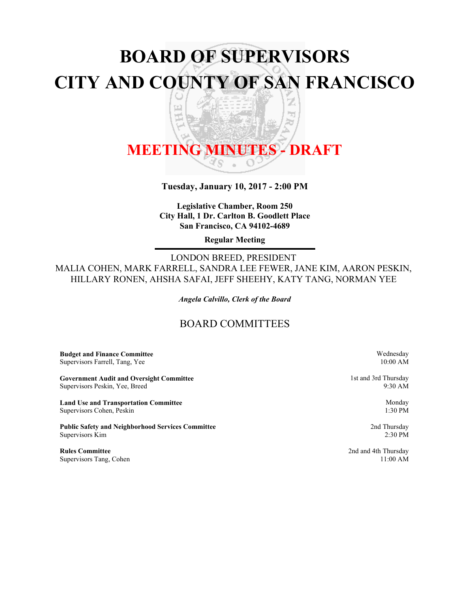# **BOARD OF SUPERVISORS CITY AND COUNTY OF SAN FRANCISCO** Z

h<sub>il</sub> ਠ

띠

# **MEETING MINUTES - DRAFT**

**Tuesday, January 10, 2017 - 2:00 PM**

**Legislative Chamber, Room 250 City Hall, 1 Dr. Carlton B. Goodlett Place San Francisco, CA 94102-4689**

**Regular Meeting**

LONDON BREED, PRESIDENT MALIA COHEN, MARK FARRELL, SANDRA LEE FEWER, JANE KIM, AARON PESKIN, HILLARY RONEN, AHSHA SAFAI, JEFF SHEEHY, KATY TANG, NORMAN YEE

*Angela Calvillo, Clerk of the Board*

# BOARD COMMITTEES

**Budget and Finance Committee** Supervisors Farrell, Tang, Yee

**Government Audit and Oversight Committee** Supervisors Peskin, Yee, Breed

**Land Use and Transportation Committee** Supervisors Cohen, Peskin

**Public Safety and Neighborhood Services Committee** Supervisors Kim

**Rules Committee** Supervisors Tang, Cohen Wednesday 10:00 AM

1st and 3rd Thursday 9:30 AM

> Monday 1:30 PM

2nd Thursday 2:30 PM

2nd and 4th Thursday 11:00 AM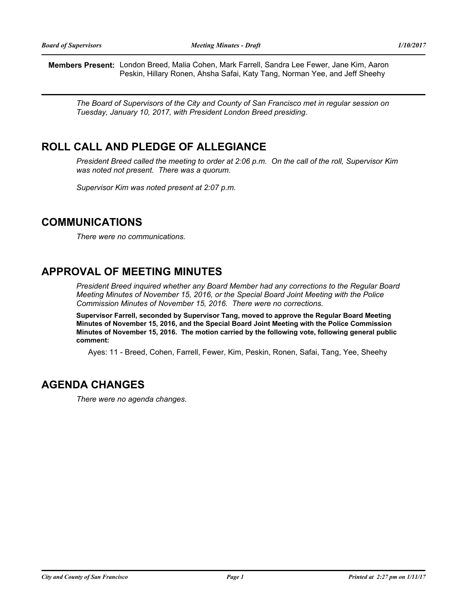**Members Present:** London Breed, Malia Cohen, Mark Farrell, Sandra Lee Fewer, Jane Kim, Aaron Peskin, Hillary Ronen, Ahsha Safai, Katy Tang, Norman Yee, and Jeff Sheehy

*The Board of Supervisors of the City and County of San Francisco met in regular session on Tuesday, January 10, 2017, with President London Breed presiding.*

# **ROLL CALL AND PLEDGE OF ALLEGIANCE**

*President Breed called the meeting to order at 2:06 p.m. On the call of the roll, Supervisor Kim was noted not present. There was a quorum.*

*Supervisor Kim was noted present at 2:07 p.m.*

# **COMMUNICATIONS**

*There were no communications.*

# **APPROVAL OF MEETING MINUTES**

*President Breed inquired whether any Board Member had any corrections to the Regular Board Meeting Minutes of November 15, 2016, or the Special Board Joint Meeting with the Police Commission Minutes of November 15, 2016. There were no corrections.*

**Supervisor Farrell, seconded by Supervisor Tang, moved to approve the Regular Board Meeting Minutes of November 15, 2016, and the Special Board Joint Meeting with the Police Commission Minutes of November 15, 2016. The motion carried by the following vote, following general public comment:**

Ayes: 11 - Breed, Cohen, Farrell, Fewer, Kim, Peskin, Ronen, Safai, Tang, Yee, Sheehy

# **AGENDA CHANGES**

*There were no agenda changes.*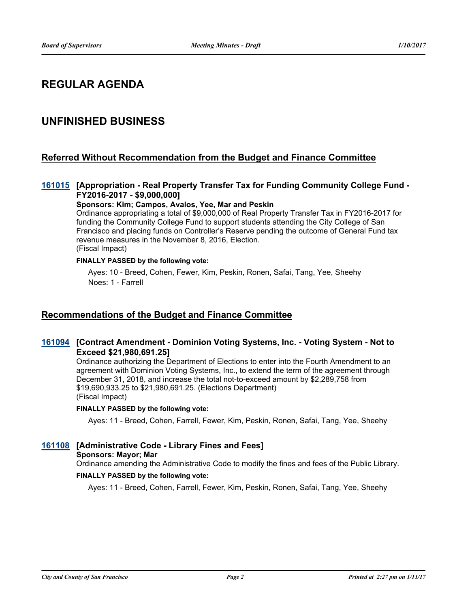# **REGULAR AGENDA**

# **UNFINISHED BUSINESS**

### **Referred Without Recommendation from the Budget and Finance Committee**

#### [161015](http://sfgov.legistar.com/gateway.aspx?m=l&id=31220) [Appropriation - Real Property Transfer Tax for Funding Community College Fund -**FY2016-2017 - \$9,000,000]**

**Sponsors: Kim; Campos, Avalos, Yee, Mar and Peskin**

Ordinance appropriating a total of \$9,000,000 of Real Property Transfer Tax in FY2016-2017 for funding the Community College Fund to support students attending the City College of San Francisco and placing funds on Controller's Reserve pending the outcome of General Fund tax revenue measures in the November 8, 2016, Election. (Fiscal Impact)

#### **FINALLY PASSED by the following vote:**

Ayes: 10 - Breed, Cohen, Fewer, Kim, Peskin, Ronen, Safai, Tang, Yee, Sheehy Noes: 1 - Farrell

### **Recommendations of the Budget and Finance Committee**

#### **[Contract Amendment - Dominion Voting Systems, Inc. - Voting System - Not to [161094](http://sfgov.legistar.com/gateway.aspx?m=l&id=31299) Exceed \$21,980,691.25]**

Ordinance authorizing the Department of Elections to enter into the Fourth Amendment to an agreement with Dominion Voting Systems, Inc., to extend the term of the agreement through December 31, 2018, and increase the total not-to-exceed amount by \$2,289,758 from \$19,690,933.25 to \$21,980,691.25. (Elections Department) (Fiscal Impact)

#### **FINALLY PASSED by the following vote:**

Ayes: 11 - Breed, Cohen, Farrell, Fewer, Kim, Peskin, Ronen, Safai, Tang, Yee, Sheehy

#### **[161108](http://sfgov.legistar.com/gateway.aspx?m=l&id=31313) [Administrative Code - Library Fines and Fees]**

#### **Sponsors: Mayor; Mar**

Ordinance amending the Administrative Code to modify the fines and fees of the Public Library.

#### **FINALLY PASSED by the following vote:**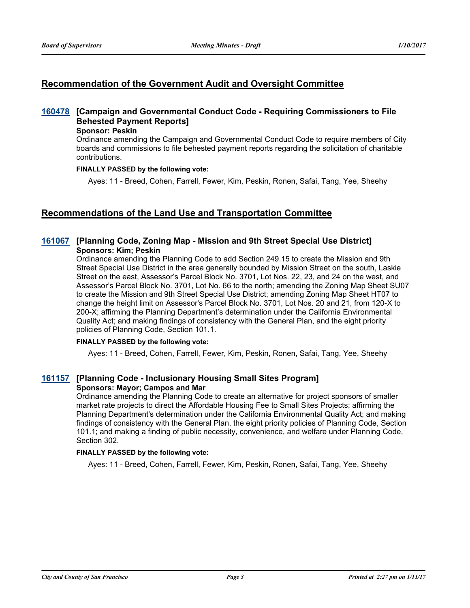### **Recommendation of the Government Audit and Oversight Committee**

### **[Campaign and Governmental Conduct Code - Requiring Commissioners to File [160478](http://sfgov.legistar.com/gateway.aspx?m=l&id=30683) Behested Payment Reports]**

#### **Sponsor: Peskin**

Ordinance amending the Campaign and Governmental Conduct Code to require members of City boards and commissions to file behested payment reports regarding the solicitation of charitable contributions.

#### **FINALLY PASSED by the following vote:**

Ayes: 11 - Breed, Cohen, Farrell, Fewer, Kim, Peskin, Ronen, Safai, Tang, Yee, Sheehy

### **Recommendations of the Land Use and Transportation Committee**

#### **[161067](http://sfgov.legistar.com/gateway.aspx?m=l&id=31272) [Planning Code, Zoning Map - Mission and 9th Street Special Use District] Sponsors: Kim; Peskin**

Ordinance amending the Planning Code to add Section 249.15 to create the Mission and 9th Street Special Use District in the area generally bounded by Mission Street on the south, Laskie Street on the east, Assessor's Parcel Block No. 3701, Lot Nos. 22, 23, and 24 on the west, and Assessor's Parcel Block No. 3701, Lot No. 66 to the north; amending the Zoning Map Sheet SU07 to create the Mission and 9th Street Special Use District; amending Zoning Map Sheet HT07 to change the height limit on Assessor's Parcel Block No. 3701, Lot Nos. 20 and 21, from 120-X to 200-X; affirming the Planning Department's determination under the California Environmental Quality Act; and making findings of consistency with the General Plan, and the eight priority policies of Planning Code, Section 101.1.

#### **FINALLY PASSED by the following vote:**

Ayes: 11 - Breed, Cohen, Farrell, Fewer, Kim, Peskin, Ronen, Safai, Tang, Yee, Sheehy

#### **[161157](http://sfgov.legistar.com/gateway.aspx?m=l&id=31362) [Planning Code - Inclusionary Housing Small Sites Program] Sponsors: Mayor; Campos and Mar**

Ordinance amending the Planning Code to create an alternative for project sponsors of smaller market rate projects to direct the Affordable Housing Fee to Small Sites Projects; affirming the Planning Department's determination under the California Environmental Quality Act; and making findings of consistency with the General Plan, the eight priority policies of Planning Code, Section 101.1; and making a finding of public necessity, convenience, and welfare under Planning Code, Section 302.

#### **FINALLY PASSED by the following vote:**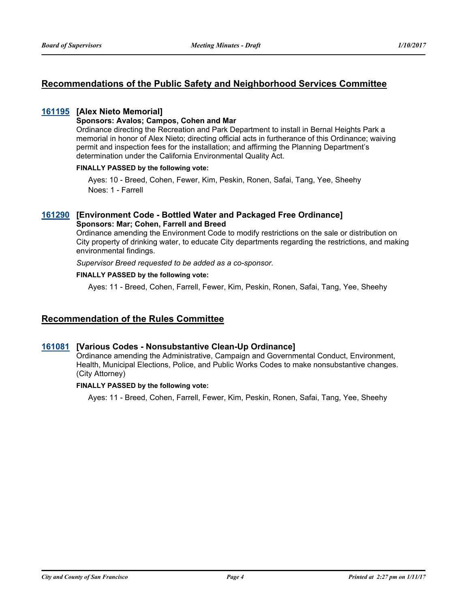### **Recommendations of the Public Safety and Neighborhood Services Committee**

#### **[161195](http://sfgov.legistar.com/gateway.aspx?m=l&id=31400) [Alex Nieto Memorial]**

#### **Sponsors: Avalos; Campos, Cohen and Mar**

Ordinance directing the Recreation and Park Department to install in Bernal Heights Park a memorial in honor of Alex Nieto; directing official acts in furtherance of this Ordinance; waiving permit and inspection fees for the installation; and affirming the Planning Department's determination under the California Environmental Quality Act.

#### **FINALLY PASSED by the following vote:**

Ayes: 10 - Breed, Cohen, Fewer, Kim, Peskin, Ronen, Safai, Tang, Yee, Sheehy Noes: 1 - Farrell

#### **[161290](http://sfgov.legistar.com/gateway.aspx?m=l&id=31495) [Environment Code - Bottled Water and Packaged Free Ordinance] Sponsors: Mar; Cohen, Farrell and Breed**

Ordinance amending the Environment Code to modify restrictions on the sale or distribution on City property of drinking water, to educate City departments regarding the restrictions, and making environmental findings.

*Supervisor Breed requested to be added as a co-sponsor.*

#### **FINALLY PASSED by the following vote:**

Ayes: 11 - Breed, Cohen, Farrell, Fewer, Kim, Peskin, Ronen, Safai, Tang, Yee, Sheehy

### **Recommendation of the Rules Committee**

#### **[161081](http://sfgov.legistar.com/gateway.aspx?m=l&id=31286) [Various Codes - Nonsubstantive Clean-Up Ordinance]**

Ordinance amending the Administrative, Campaign and Governmental Conduct, Environment, Health, Municipal Elections, Police, and Public Works Codes to make nonsubstantive changes. (City Attorney)

#### **FINALLY PASSED by the following vote:**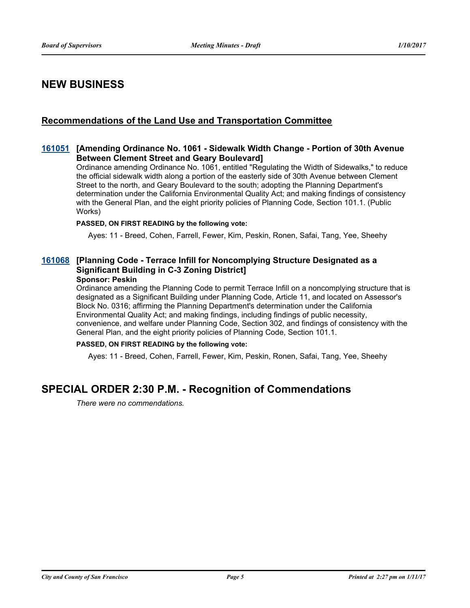# **NEW BUSINESS**

### **Recommendations of the Land Use and Transportation Committee**

#### **[Amending Ordinance No. 1061 - Sidewalk Width Change - Portion of 30th Avenue [161051](http://sfgov.legistar.com/gateway.aspx?m=l&id=31256) Between Clement Street and Geary Boulevard]**

Ordinance amending Ordinance No. 1061, entitled "Regulating the Width of Sidewalks," to reduce the official sidewalk width along a portion of the easterly side of 30th Avenue between Clement Street to the north, and Geary Boulevard to the south; adopting the Planning Department's determination under the California Environmental Quality Act; and making findings of consistency with the General Plan, and the eight priority policies of Planning Code, Section 101.1. (Public Works)

#### **PASSED, ON FIRST READING by the following vote:**

Ayes: 11 - Breed, Cohen, Farrell, Fewer, Kim, Peskin, Ronen, Safai, Tang, Yee, Sheehy

### **[Planning Code - Terrace Infill for Noncomplying Structure Designated as a [161068](http://sfgov.legistar.com/gateway.aspx?m=l&id=31273) Significant Building in C-3 Zoning District]**

#### **Sponsor: Peskin**

Ordinance amending the Planning Code to permit Terrace Infill on a noncomplying structure that is designated as a Significant Building under Planning Code, Article 11, and located on Assessor's Block No. 0316; affirming the Planning Department's determination under the California Environmental Quality Act; and making findings, including findings of public necessity, convenience, and welfare under Planning Code, Section 302, and findings of consistency with the General Plan, and the eight priority policies of Planning Code, Section 101.1.

#### **PASSED, ON FIRST READING by the following vote:**

Ayes: 11 - Breed, Cohen, Farrell, Fewer, Kim, Peskin, Ronen, Safai, Tang, Yee, Sheehy

# **SPECIAL ORDER 2:30 P.M. - Recognition of Commendations**

*There were no commendations.*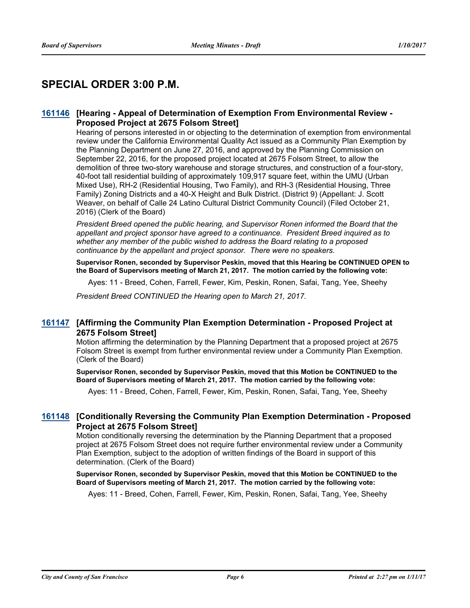# **SPECIAL ORDER 3:00 P.M.**

#### [161146](http://sfgov.legistar.com/gateway.aspx?m=l&id=31351) [Hearing - Appeal of Determination of Exemption From Environmental Review -**Proposed Project at 2675 Folsom Street]**

Hearing of persons interested in or objecting to the determination of exemption from environmental review under the California Environmental Quality Act issued as a Community Plan Exemption by the Planning Department on June 27, 2016, and approved by the Planning Commission on September 22, 2016, for the proposed project located at 2675 Folsom Street, to allow the demolition of three two-story warehouse and storage structures, and construction of a four-story, 40-foot tall residential building of approximately 109,917 square feet, within the UMU (Urban Mixed Use), RH-2 (Residential Housing, Two Family), and RH-3 (Residential Housing, Three Family) Zoning Districts and a 40-X Height and Bulk District. (District 9) (Appellant: J. Scott Weaver, on behalf of Calle 24 Latino Cultural District Community Council) (Filed October 21, 2016) (Clerk of the Board)

*President Breed opened the public hearing, and Supervisor Ronen informed the Board that the appellant and project sponsor have agreed to a continuance. President Breed inquired as to whether any member of the public wished to address the Board relating to a proposed continuance by the appellant and project sponsor. There were no speakers.*

**Supervisor Ronen, seconded by Supervisor Peskin, moved that this Hearing be CONTINUED OPEN to the Board of Supervisors meeting of March 21, 2017. The motion carried by the following vote:**

Ayes: 11 - Breed, Cohen, Farrell, Fewer, Kim, Peskin, Ronen, Safai, Tang, Yee, Sheehy

*President Breed CONTINUED the Hearing open to March 21, 2017.*

#### **[Affirming the Community Plan Exemption Determination - Proposed Project at [161147](http://sfgov.legistar.com/gateway.aspx?m=l&id=31352) 2675 Folsom Street]**

Motion affirming the determination by the Planning Department that a proposed project at 2675 Folsom Street is exempt from further environmental review under a Community Plan Exemption. (Clerk of the Board)

**Supervisor Ronen, seconded by Supervisor Peskin, moved that this Motion be CONTINUED to the Board of Supervisors meeting of March 21, 2017. The motion carried by the following vote:**

Ayes: 11 - Breed, Cohen, Farrell, Fewer, Kim, Peskin, Ronen, Safai, Tang, Yee, Sheehy

#### **[Conditionally Reversing the Community Plan Exemption Determination - Proposed [161148](http://sfgov.legistar.com/gateway.aspx?m=l&id=31353) Project at 2675 Folsom Street]**

Motion conditionally reversing the determination by the Planning Department that a proposed project at 2675 Folsom Street does not require further environmental review under a Community Plan Exemption, subject to the adoption of written findings of the Board in support of this determination. (Clerk of the Board)

#### **Supervisor Ronen, seconded by Supervisor Peskin, moved that this Motion be CONTINUED to the Board of Supervisors meeting of March 21, 2017. The motion carried by the following vote:**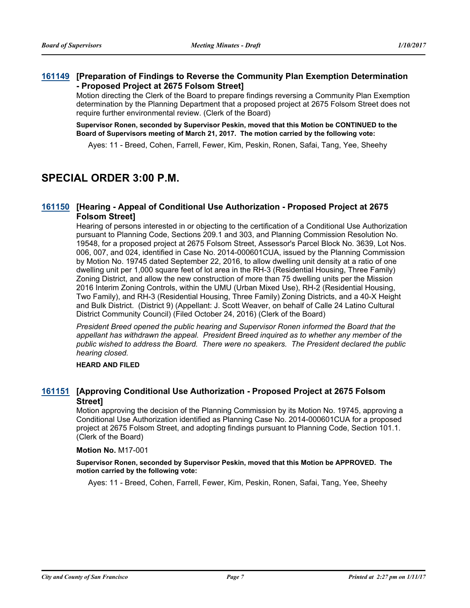#### **[Preparation of Findings to Reverse the Community Plan Exemption Determination [161149](http://sfgov.legistar.com/gateway.aspx?m=l&id=31354) - Proposed Project at 2675 Folsom Street]**

Motion directing the Clerk of the Board to prepare findings reversing a Community Plan Exemption determination by the Planning Department that a proposed project at 2675 Folsom Street does not require further environmental review. (Clerk of the Board)

**Supervisor Ronen, seconded by Supervisor Peskin, moved that this Motion be CONTINUED to the Board of Supervisors meeting of March 21, 2017. The motion carried by the following vote:**

Ayes: 11 - Breed, Cohen, Farrell, Fewer, Kim, Peskin, Ronen, Safai, Tang, Yee, Sheehy

# **SPECIAL ORDER 3:00 P.M.**

### **[Hearing - Appeal of Conditional Use Authorization - Proposed Project at 2675 [161150](http://sfgov.legistar.com/gateway.aspx?m=l&id=31355) Folsom Street]**

Hearing of persons interested in or objecting to the certification of a Conditional Use Authorization pursuant to Planning Code, Sections 209.1 and 303, and Planning Commission Resolution No. 19548, for a proposed project at 2675 Folsom Street, Assessor's Parcel Block No. 3639, Lot Nos. 006, 007, and 024, identified in Case No. 2014-000601CUA, issued by the Planning Commission by Motion No. 19745 dated September 22, 2016, to allow dwelling unit density at a ratio of one dwelling unit per 1,000 square feet of lot area in the RH-3 (Residential Housing, Three Family) Zoning District, and allow the new construction of more than 75 dwelling units per the Mission 2016 Interim Zoning Controls, within the UMU (Urban Mixed Use), RH-2 (Residential Housing, Two Family), and RH-3 (Residential Housing, Three Family) Zoning Districts, and a 40-X Height and Bulk District. (District 9) (Appellant: J. Scott Weaver, on behalf of Calle 24 Latino Cultural District Community Council) (Filed October 24, 2016) (Clerk of the Board)

*President Breed opened the public hearing and Supervisor Ronen informed the Board that the appellant has withdrawn the appeal. President Breed inquired as to whether any member of the public wished to address the Board. There were no speakers. The President declared the public hearing closed.*

#### **HEARD AND FILED**

#### **[Approving Conditional Use Authorization - Proposed Project at 2675 Folsom [161151](http://sfgov.legistar.com/gateway.aspx?m=l&id=31356) Street]**

Motion approving the decision of the Planning Commission by its Motion No. 19745, approving a Conditional Use Authorization identified as Planning Case No. 2014-000601CUA for a proposed project at 2675 Folsom Street, and adopting findings pursuant to Planning Code, Section 101.1. (Clerk of the Board)

#### **Motion No.** M17-001

#### **Supervisor Ronen, seconded by Supervisor Peskin, moved that this Motion be APPROVED. The motion carried by the following vote:**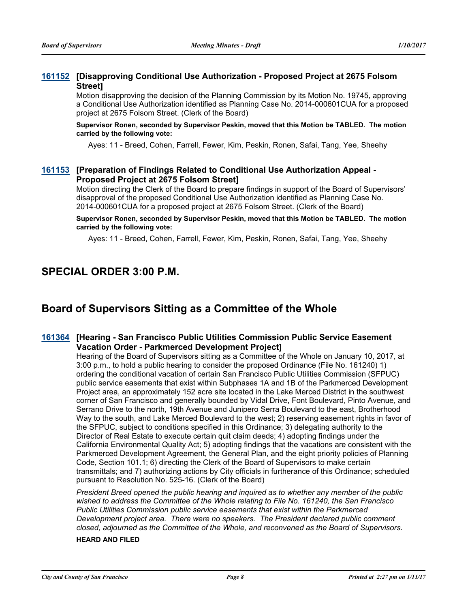#### **[Disapproving Conditional Use Authorization - Proposed Project at 2675 Folsom [161152](http://sfgov.legistar.com/gateway.aspx?m=l&id=31357) Street]**

Motion disapproving the decision of the Planning Commission by its Motion No. 19745, approving a Conditional Use Authorization identified as Planning Case No. 2014-000601CUA for a proposed project at 2675 Folsom Street. (Clerk of the Board)

**Supervisor Ronen, seconded by Supervisor Peskin, moved that this Motion be TABLED. The motion carried by the following vote:**

Ayes: 11 - Breed, Cohen, Farrell, Fewer, Kim, Peskin, Ronen, Safai, Tang, Yee, Sheehy

### **[Preparation of Findings Related to Conditional Use Authorization Appeal - [161153](http://sfgov.legistar.com/gateway.aspx?m=l&id=31358) Proposed Project at 2675 Folsom Street]**

Motion directing the Clerk of the Board to prepare findings in support of the Board of Supervisors' disapproval of the proposed Conditional Use Authorization identified as Planning Case No. 2014-000601CUA for a proposed project at 2675 Folsom Street. (Clerk of the Board)

**Supervisor Ronen, seconded by Supervisor Peskin, moved that this Motion be TABLED. The motion carried by the following vote:**

Ayes: 11 - Breed, Cohen, Farrell, Fewer, Kim, Peskin, Ronen, Safai, Tang, Yee, Sheehy

# **SPECIAL ORDER 3:00 P.M.**

# **Board of Supervisors Sitting as a Committee of the Whole**

### **[Hearing - San Francisco Public Utilities Commission Public Service Easement [161364](http://sfgov.legistar.com/gateway.aspx?m=l&id=31569) Vacation Order - Parkmerced Development Project]**

Hearing of the Board of Supervisors sitting as a Committee of the Whole on January 10, 2017, at 3:00 p.m., to hold a public hearing to consider the proposed Ordinance (File No. 161240) 1) ordering the conditional vacation of certain San Francisco Public Utilities Commission (SFPUC) public service easements that exist within Subphases 1A and 1B of the Parkmerced Development Project area, an approximately 152 acre site located in the Lake Merced District in the southwest corner of San Francisco and generally bounded by Vidal Drive, Font Boulevard, Pinto Avenue, and Serrano Drive to the north, 19th Avenue and Junipero Serra Boulevard to the east, Brotherhood Way to the south, and Lake Merced Boulevard to the west; 2) reserving easement rights in favor of the SFPUC, subject to conditions specified in this Ordinance; 3) delegating authority to the Director of Real Estate to execute certain quit claim deeds; 4) adopting findings under the California Environmental Quality Act; 5) adopting findings that the vacations are consistent with the Parkmerced Development Agreement, the General Plan, and the eight priority policies of Planning Code, Section 101.1; 6) directing the Clerk of the Board of Supervisors to make certain transmittals; and 7) authorizing actions by City officials in furtherance of this Ordinance; scheduled pursuant to Resolution No. 525-16. (Clerk of the Board)

*President Breed opened the public hearing and inquired as to whether any member of the public wished to address the Committee of the Whole relating to File No. 161240, the San Francisco Public Utilities Commission public service easements that exist within the Parkmerced Development project area. There were no speakers. The President declared public comment closed, adjourned as the Committee of the Whole, and reconvened as the Board of Supervisors.*

#### **HEARD AND FILED**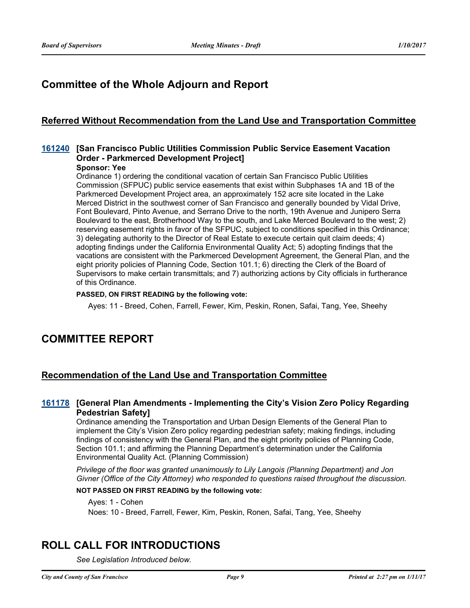# **Committee of the Whole Adjourn and Report**

### **Referred Without Recommendation from the Land Use and Transportation Committee**

### **[161240](http://sfgov.legistar.com/gateway.aspx?m=l&id=31445) [San Francisco Public Utilities Commission Public Service Easement Vacation Order - Parkmerced Development Project]**

#### **Sponsor: Yee**

Ordinance 1) ordering the conditional vacation of certain San Francisco Public Utilities Commission (SFPUC) public service easements that exist within Subphases 1A and 1B of the Parkmerced Development Project area, an approximately 152 acre site located in the Lake Merced District in the southwest corner of San Francisco and generally bounded by Vidal Drive, Font Boulevard, Pinto Avenue, and Serrano Drive to the north, 19th Avenue and Junipero Serra Boulevard to the east, Brotherhood Way to the south, and Lake Merced Boulevard to the west; 2) reserving easement rights in favor of the SFPUC, subject to conditions specified in this Ordinance; 3) delegating authority to the Director of Real Estate to execute certain quit claim deeds; 4) adopting findings under the California Environmental Quality Act; 5) adopting findings that the vacations are consistent with the Parkmerced Development Agreement, the General Plan, and the eight priority policies of Planning Code, Section 101.1; 6) directing the Clerk of the Board of Supervisors to make certain transmittals; and 7) authorizing actions by City officials in furtherance of this Ordinance.

#### **PASSED, ON FIRST READING by the following vote:**

Ayes: 11 - Breed, Cohen, Farrell, Fewer, Kim, Peskin, Ronen, Safai, Tang, Yee, Sheehy

# **COMMITTEE REPORT**

### **Recommendation of the Land Use and Transportation Committee**

#### **[General Plan Amendments - Implementing the City's Vision Zero Policy Regarding [161178](http://sfgov.legistar.com/gateway.aspx?m=l&id=31383) Pedestrian Safety]**

Ordinance amending the Transportation and Urban Design Elements of the General Plan to implement the City's Vision Zero policy regarding pedestrian safety; making findings, including findings of consistency with the General Plan, and the eight priority policies of Planning Code, Section 101.1; and affirming the Planning Department's determination under the California Environmental Quality Act. (Planning Commission)

*Privilege of the floor was granted unanimously to Lily Langois (Planning Department) and Jon Givner (Office of the City Attorney) who responded to questions raised throughout the discussion.*

#### **NOT PASSED ON FIRST READING by the following vote:**

Ayes: 1 - Cohen

Noes: 10 - Breed, Farrell, Fewer, Kim, Peskin, Ronen, Safai, Tang, Yee, Sheehy

# **ROLL CALL FOR INTRODUCTIONS**

*See Legislation Introduced below.*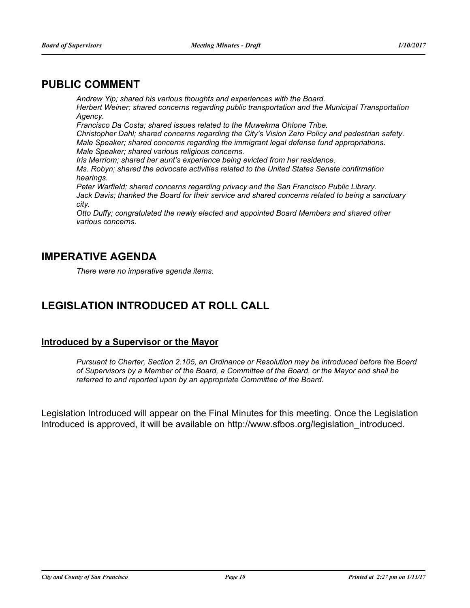# **PUBLIC COMMENT**

*Andrew Yip; shared his various thoughts and experiences with the Board. Herbert Weiner; shared concerns regarding public transportation and the Municipal Transportation Agency. Francisco Da Costa; shared issues related to the Muwekma Ohlone Tribe. Christopher Dahl; shared concerns regarding the City's Vision Zero Policy and pedestrian safety. Male Speaker; shared concerns regarding the immigrant legal defense fund appropriations. Male Speaker; shared various religious concerns. Iris Merriom; shared her aunt's experience being evicted from her residence. Ms. Robyn; shared the advocate activities related to the United States Senate confirmation hearings. Peter Warfield; shared concerns regarding privacy and the San Francisco Public Library. Jack Davis; thanked the Board for their service and shared concerns related to being a sanctuary city. Otto Duffy; congratulated the newly elected and appointed Board Members and shared other various concerns.*

# **IMPERATIVE AGENDA**

*There were no imperative agenda items.*

# **LEGISLATION INTRODUCED AT ROLL CALL**

### **Introduced by a Supervisor or the Mayor**

*Pursuant to Charter, Section 2.105, an Ordinance or Resolution may be introduced before the Board of Supervisors by a Member of the Board, a Committee of the Board, or the Mayor and shall be referred to and reported upon by an appropriate Committee of the Board.*

Legislation Introduced will appear on the Final Minutes for this meeting. Once the Legislation Introduced is approved, it will be available on http://www.sfbos.org/legislation\_introduced.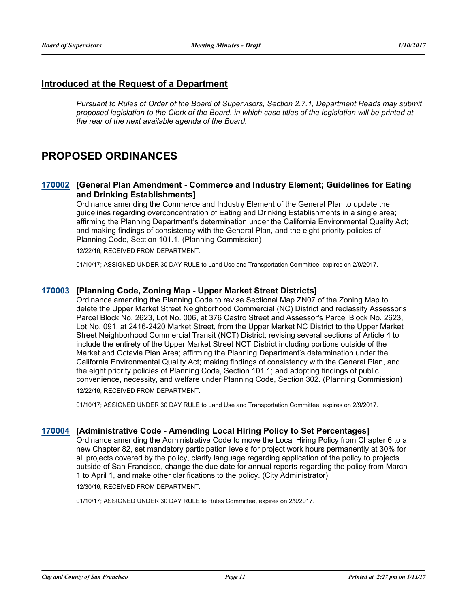### **Introduced at the Request of a Department**

*Pursuant to Rules of Order of the Board of Supervisors, Section 2.7.1, Department Heads may submit proposed legislation to the Clerk of the Board, in which case titles of the legislation will be printed at the rear of the next available agenda of the Board.*

# **PROPOSED ORDINANCES**

#### **[170002](http://sfgov.legistar.com/gateway.aspx?m=l&id=31577) [General Plan Amendment - Commerce and Industry Element; Guidelines for Eating and Drinking Establishments]**

Ordinance amending the Commerce and Industry Element of the General Plan to update the guidelines regarding overconcentration of Eating and Drinking Establishments in a single area; affirming the Planning Department's determination under the California Environmental Quality Act; and making findings of consistency with the General Plan, and the eight priority policies of Planning Code, Section 101.1. (Planning Commission)

12/22/16; RECEIVED FROM DEPARTMENT.

01/10/17; ASSIGNED UNDER 30 DAY RULE to Land Use and Transportation Committee, expires on 2/9/2017.

#### **[170003](http://sfgov.legistar.com/gateway.aspx?m=l&id=31578) [Planning Code, Zoning Map - Upper Market Street Districts]**

Ordinance amending the Planning Code to revise Sectional Map ZN07 of the Zoning Map to delete the Upper Market Street Neighborhood Commercial (NC) District and reclassify Assessor's Parcel Block No. 2623, Lot No. 006, at 376 Castro Street and Assessor's Parcel Block No. 2623, Lot No. 091, at 2416-2420 Market Street, from the Upper Market NC District to the Upper Market Street Neighborhood Commercial Transit (NCT) District; revising several sections of Article 4 to include the entirety of the Upper Market Street NCT District including portions outside of the Market and Octavia Plan Area; affirming the Planning Department's determination under the California Environmental Quality Act; making findings of consistency with the General Plan, and the eight priority policies of Planning Code, Section 101.1; and adopting findings of public convenience, necessity, and welfare under Planning Code, Section 302. (Planning Commission) 12/22/16; RECEIVED FROM DEPARTMENT.

01/10/17; ASSIGNED UNDER 30 DAY RULE to Land Use and Transportation Committee, expires on 2/9/2017.

#### **[170004](http://sfgov.legistar.com/gateway.aspx?m=l&id=31579) [Administrative Code - Amending Local Hiring Policy to Set Percentages]**

Ordinance amending the Administrative Code to move the Local Hiring Policy from Chapter 6 to a new Chapter 82, set mandatory participation levels for project work hours permanently at 30% for all projects covered by the policy, clarify language regarding application of the policy to projects outside of San Francisco, change the due date for annual reports regarding the policy from March 1 to April 1, and make other clarifications to the policy. (City Administrator) 12/30/16; RECEIVED FROM DEPARTMENT.

01/10/17; ASSIGNED UNDER 30 DAY RULE to Rules Committee, expires on 2/9/2017.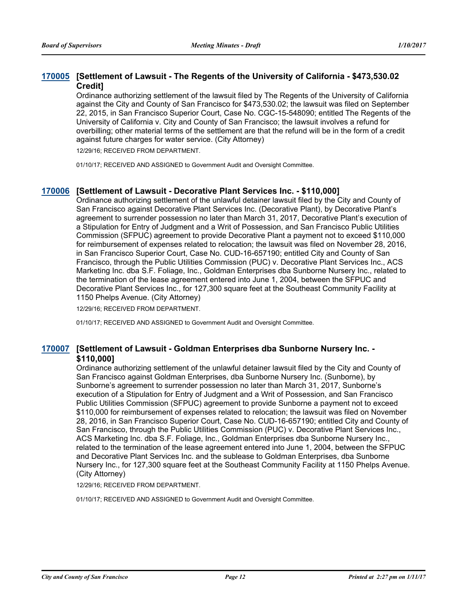### **[Settlement of Lawsuit - The Regents of the University of California - \$473,530.02 [170005](http://sfgov.legistar.com/gateway.aspx?m=l&id=31580) Credit]**

Ordinance authorizing settlement of the lawsuit filed by The Regents of the University of California against the City and County of San Francisco for \$473,530.02; the lawsuit was filed on September 22, 2015, in San Francisco Superior Court, Case No. CGC-15-548090; entitled The Regents of the University of California v. City and County of San Francisco; the lawsuit involves a refund for overbilling; other material terms of the settlement are that the refund will be in the form of a credit against future charges for water service. (City Attorney)

12/29/16; RECEIVED FROM DEPARTMENT.

01/10/17; RECEIVED AND ASSIGNED to Government Audit and Oversight Committee.

#### **[170006](http://sfgov.legistar.com/gateway.aspx?m=l&id=31581) [Settlement of Lawsuit - Decorative Plant Services Inc. - \$110,000]**

Ordinance authorizing settlement of the unlawful detainer lawsuit filed by the City and County of San Francisco against Decorative Plant Services Inc. (Decorative Plant), by Decorative Plant's agreement to surrender possession no later than March 31, 2017, Decorative Plant's execution of a Stipulation for Entry of Judgment and a Writ of Possession, and San Francisco Public Utilities Commission (SFPUC) agreement to provide Decorative Plant a payment not to exceed \$110,000 for reimbursement of expenses related to relocation; the lawsuit was filed on November 28, 2016, in San Francisco Superior Court, Case No. CUD-16-657190; entitled City and County of San Francisco, through the Public Utilities Commission (PUC) v. Decorative Plant Services Inc., ACS Marketing Inc. dba S.F. Foliage, Inc., Goldman Enterprises dba Sunborne Nursery Inc., related to the termination of the lease agreement entered into June 1, 2004, between the SFPUC and Decorative Plant Services Inc., for 127,300 square feet at the Southeast Community Facility at 1150 Phelps Avenue. (City Attorney)

12/29/16; RECEIVED FROM DEPARTMENT.

01/10/17; RECEIVED AND ASSIGNED to Government Audit and Oversight Committee.

#### [170007](http://sfgov.legistar.com/gateway.aspx?m=l&id=31582) [Settlement of Lawsuit - Goldman Enterprises dba Sunborne Nursery Inc. -**\$110,000]**

Ordinance authorizing settlement of the unlawful detainer lawsuit filed by the City and County of San Francisco against Goldman Enterprises, dba Sunborne Nursery Inc. (Sunborne), by Sunborne's agreement to surrender possession no later than March 31, 2017, Sunborne's execution of a Stipulation for Entry of Judgment and a Writ of Possession, and San Francisco Public Utilities Commission (SFPUC) agreement to provide Sunborne a payment not to exceed \$110,000 for reimbursement of expenses related to relocation; the lawsuit was filed on November 28, 2016, in San Francisco Superior Court, Case No. CUD-16-657190; entitled City and County of San Francisco, through the Public Utilities Commission (PUC) v. Decorative Plant Services Inc., ACS Marketing Inc. dba S.F. Foliage, Inc., Goldman Enterprises dba Sunborne Nursery Inc., related to the termination of the lease agreement entered into June 1, 2004, between the SFPUC and Decorative Plant Services Inc. and the sublease to Goldman Enterprises, dba Sunborne Nursery Inc., for 127,300 square feet at the Southeast Community Facility at 1150 Phelps Avenue. (City Attorney)

12/29/16; RECEIVED FROM DEPARTMENT.

01/10/17; RECEIVED AND ASSIGNED to Government Audit and Oversight Committee.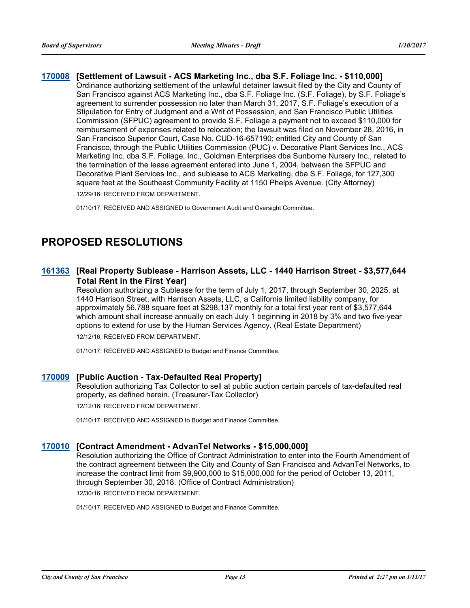#### **[170008](http://sfgov.legistar.com/gateway.aspx?m=l&id=31583) [Settlement of Lawsuit - ACS Marketing Inc., dba S.F. Foliage Inc. - \$110,000]** Ordinance authorizing settlement of the unlawful detainer lawsuit filed by the City and County of San Francisco against ACS Marketing Inc., dba S.F. Foliage Inc. (S.F. Foliage), by S.F. Foliage's agreement to surrender possession no later than March 31, 2017, S.F. Foliage's execution of a Stipulation for Entry of Judgment and a Writ of Possession, and San Francisco Public Utilities Commission (SFPUC) agreement to provide S.F. Foliage a payment not to exceed \$110,000 for reimbursement of expenses related to relocation; the lawsuit was filed on November 28, 2016, in San Francisco Superior Court, Case No. CUD-16-657190; entitled City and County of San Francisco, through the Public Utilities Commission (PUC) v. Decorative Plant Services Inc., ACS Marketing Inc. dba S.F. Foliage, Inc., Goldman Enterprises dba Sunborne Nursery Inc., related to the termination of the lease agreement entered into June 1, 2004, between the SFPUC and Decorative Plant Services Inc., and sublease to ACS Marketing, dba S.F. Foliage, for 127,300 square feet at the Southeast Community Facility at 1150 Phelps Avenue. (City Attorney) 12/29/16; RECEIVED FROM DEPARTMENT.

01/10/17; RECEIVED AND ASSIGNED to Government Audit and Oversight Committee.

# **PROPOSED RESOLUTIONS**

### **[Real Property Sublease - Harrison Assets, LLC - 1440 Harrison Street - \$3,577,644 [161363](http://sfgov.legistar.com/gateway.aspx?m=l&id=31568) Total Rent in the First Year]**

Resolution authorizing a Sublease for the term of July 1, 2017, through September 30, 2025, at 1440 Harrison Street, with Harrison Assets, LLC, a California limited liability company, for approximately 56,788 square feet at \$298,137 monthly for a total first year rent of \$3,577,644 which amount shall increase annually on each July 1 beginning in 2018 by 3% and two five-year options to extend for use by the Human Services Agency. (Real Estate Department) 12/12/16; RECEIVED FROM DEPARTMENT.

01/10/17; RECEIVED AND ASSIGNED to Budget and Finance Committee.

#### **[170009](http://sfgov.legistar.com/gateway.aspx?m=l&id=31584) [Public Auction - Tax-Defaulted Real Property]**

Resolution authorizing Tax Collector to sell at public auction certain parcels of tax-defaulted real property, as defined herein. (Treasurer-Tax Collector) 12/12/16; RECEIVED FROM DEPARTMENT.

01/10/17; RECEIVED AND ASSIGNED to Budget and Finance Committee.

#### **[170010](http://sfgov.legistar.com/gateway.aspx?m=l&id=31585) [Contract Amendment - AdvanTel Networks - \$15,000,000]**

Resolution authorizing the Office of Contract Administration to enter into the Fourth Amendment of the contract agreement between the City and County of San Francisco and AdvanTel Networks, to increase the contract limit from \$9,900,000 to \$15,000,000 for the period of October 13, 2011, through September 30, 2018. (Office of Contract Administration)

12/30/16; RECEIVED FROM DEPARTMENT.

01/10/17; RECEIVED AND ASSIGNED to Budget and Finance Committee.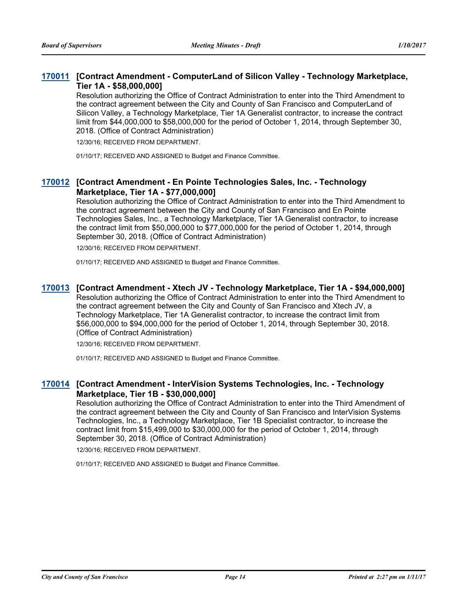### **[170011](http://sfgov.legistar.com/gateway.aspx?m=l&id=31586) [Contract Amendment - ComputerLand of Silicon Valley - Technology Marketplace, Tier 1A - \$58,000,000]**

Resolution authorizing the Office of Contract Administration to enter into the Third Amendment to the contract agreement between the City and County of San Francisco and ComputerLand of Silicon Valley, a Technology Marketplace, Tier 1A Generalist contractor, to increase the contract limit from \$44,000,000 to \$58,000,000 for the period of October 1, 2014, through September 30, 2018. (Office of Contract Administration)

12/30/16; RECEIVED FROM DEPARTMENT.

01/10/17; RECEIVED AND ASSIGNED to Budget and Finance Committee.

#### **[Contract Amendment - En Pointe Technologies Sales, Inc. - Technology [170012](http://sfgov.legistar.com/gateway.aspx?m=l&id=31587) Marketplace, Tier 1A - \$77,000,000]**

Resolution authorizing the Office of Contract Administration to enter into the Third Amendment to the contract agreement between the City and County of San Francisco and En Pointe Technologies Sales, Inc., a Technology Marketplace, Tier 1A Generalist contractor, to increase the contract limit from \$50,000,000 to \$77,000,000 for the period of October 1, 2014, through September 30, 2018. (Office of Contract Administration)

12/30/16; RECEIVED FROM DEPARTMENT.

01/10/17; RECEIVED AND ASSIGNED to Budget and Finance Committee.

#### **[170013](http://sfgov.legistar.com/gateway.aspx?m=l&id=31588) [Contract Amendment - Xtech JV - Technology Marketplace, Tier 1A - \$94,000,000]**

Resolution authorizing the Office of Contract Administration to enter into the Third Amendment to the contract agreement between the City and County of San Francisco and Xtech JV, a Technology Marketplace, Tier 1A Generalist contractor, to increase the contract limit from \$56,000,000 to \$94,000,000 for the period of October 1, 2014, through September 30, 2018. (Office of Contract Administration)

12/30/16; RECEIVED FROM DEPARTMENT.

01/10/17; RECEIVED AND ASSIGNED to Budget and Finance Committee.

### **[Contract Amendment - InterVision Systems Technologies, Inc. - Technology [170014](http://sfgov.legistar.com/gateway.aspx?m=l&id=31589) Marketplace, Tier 1B - \$30,000,000]**

Resolution authorizing the Office of Contract Administration to enter into the Third Amendment of the contract agreement between the City and County of San Francisco and InterVision Systems Technologies, Inc., a Technology Marketplace, Tier 1B Specialist contractor, to increase the contract limit from \$15,499,000 to \$30,000,000 for the period of October 1, 2014, through September 30, 2018. (Office of Contract Administration)

12/30/16; RECEIVED FROM DEPARTMENT.

01/10/17; RECEIVED AND ASSIGNED to Budget and Finance Committee.